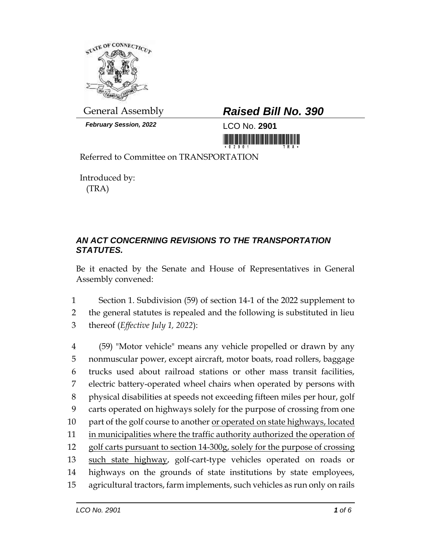

*February Session, 2022* LCO No. **2901**

## General Assembly *Raised Bill No. 390*

Referred to Committee on TRANSPORTATION

Introduced by: (TRA)

## *AN ACT CONCERNING REVISIONS TO THE TRANSPORTATION STATUTES.*

Be it enacted by the Senate and House of Representatives in General Assembly convened:

1 Section 1. Subdivision (59) of section 14-1 of the 2022 supplement to 2 the general statutes is repealed and the following is substituted in lieu 3 thereof (*Effective July 1, 2022*):

 (59) "Motor vehicle" means any vehicle propelled or drawn by any nonmuscular power, except aircraft, motor boats, road rollers, baggage trucks used about railroad stations or other mass transit facilities, electric battery-operated wheel chairs when operated by persons with physical disabilities at speeds not exceeding fifteen miles per hour, golf carts operated on highways solely for the purpose of crossing from one part of the golf course to another or operated on state highways, located in municipalities where the traffic authority authorized the operation of golf carts pursuant to section 14-300g, solely for the purpose of crossing 13 such state highway, golf-cart-type vehicles operated on roads or highways on the grounds of state institutions by state employees, agricultural tractors, farm implements, such vehicles as run only on rails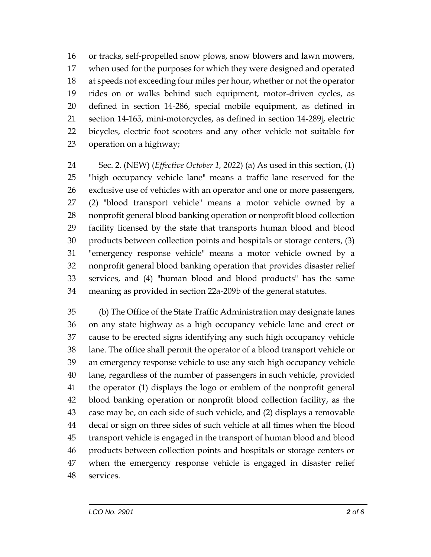or tracks, self-propelled snow plows, snow blowers and lawn mowers, when used for the purposes for which they were designed and operated at speeds not exceeding four miles per hour, whether or not the operator rides on or walks behind such equipment, motor-driven cycles, as defined in section 14-286, special mobile equipment, as defined in section 14-165, mini-motorcycles, as defined in section 14-289j, electric bicycles, electric foot scooters and any other vehicle not suitable for operation on a highway;

 Sec. 2. (NEW) (*Effective October 1, 2022*) (a) As used in this section, (1) "high occupancy vehicle lane" means a traffic lane reserved for the exclusive use of vehicles with an operator and one or more passengers, (2) "blood transport vehicle" means a motor vehicle owned by a nonprofit general blood banking operation or nonprofit blood collection facility licensed by the state that transports human blood and blood products between collection points and hospitals or storage centers, (3) "emergency response vehicle" means a motor vehicle owned by a nonprofit general blood banking operation that provides disaster relief services, and (4) "human blood and blood products" has the same meaning as provided in section 22a-209b of the general statutes.

 (b) The Office of the State Traffic Administration may designate lanes on any state highway as a high occupancy vehicle lane and erect or cause to be erected signs identifying any such high occupancy vehicle lane. The office shall permit the operator of a blood transport vehicle or an emergency response vehicle to use any such high occupancy vehicle lane, regardless of the number of passengers in such vehicle, provided the operator (1) displays the logo or emblem of the nonprofit general blood banking operation or nonprofit blood collection facility, as the case may be, on each side of such vehicle, and (2) displays a removable decal or sign on three sides of such vehicle at all times when the blood transport vehicle is engaged in the transport of human blood and blood products between collection points and hospitals or storage centers or when the emergency response vehicle is engaged in disaster relief services.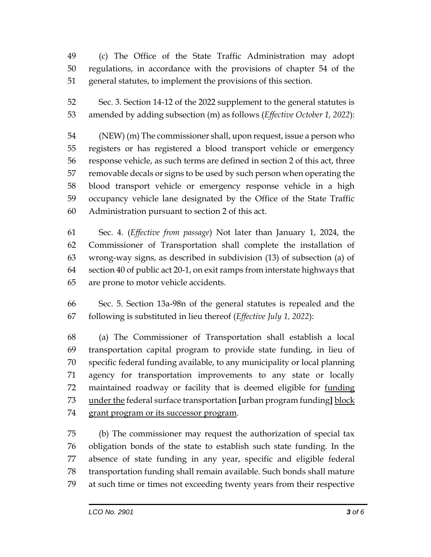(c) The Office of the State Traffic Administration may adopt regulations, in accordance with the provisions of chapter 54 of the general statutes, to implement the provisions of this section.

 Sec. 3. Section 14-12 of the 2022 supplement to the general statutes is amended by adding subsection (m) as follows (*Effective October 1, 2022*):

 (NEW) (m) The commissioner shall, upon request, issue a person who registers or has registered a blood transport vehicle or emergency response vehicle, as such terms are defined in section 2 of this act, three removable decals or signs to be used by such person when operating the blood transport vehicle or emergency response vehicle in a high occupancy vehicle lane designated by the Office of the State Traffic Administration pursuant to section 2 of this act.

 Sec. 4. (*Effective from passage*) Not later than January 1, 2024, the Commissioner of Transportation shall complete the installation of wrong-way signs, as described in subdivision (13) of subsection (a) of section 40 of public act 20-1, on exit ramps from interstate highways that are prone to motor vehicle accidents.

 Sec. 5. Section 13a-98n of the general statutes is repealed and the following is substituted in lieu thereof (*Effective July 1, 2022*):

 (a) The Commissioner of Transportation shall establish a local transportation capital program to provide state funding, in lieu of specific federal funding available, to any municipality or local planning agency for transportation improvements to any state or locally 72 maintained roadway or facility that is deemed eligible for funding under the federal surface transportation **[**urban program funding**]** block grant program or its successor program.

 (b) The commissioner may request the authorization of special tax obligation bonds of the state to establish such state funding. In the absence of state funding in any year, specific and eligible federal transportation funding shall remain available. Such bonds shall mature at such time or times not exceeding twenty years from their respective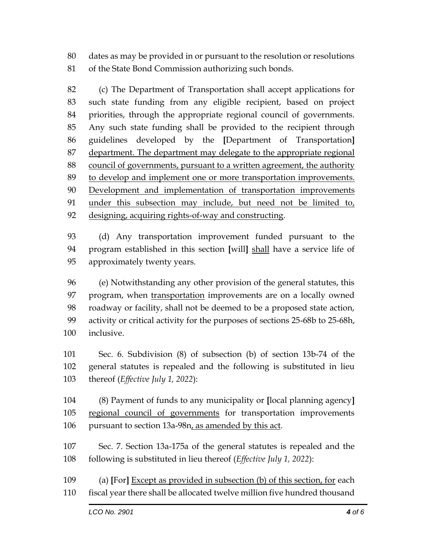dates as may be provided in or pursuant to the resolution or resolutions of the State Bond Commission authorizing such bonds.

 (c) The Department of Transportation shall accept applications for such state funding from any eligible recipient, based on project priorities, through the appropriate regional council of governments. Any such state funding shall be provided to the recipient through guidelines developed by the **[**Department of Transportation**]** department. The department may delegate to the appropriate regional council of governments, pursuant to a written agreement, the authority to develop and implement one or more transportation improvements. Development and implementation of transportation improvements under this subsection may include, but need not be limited to, designing, acquiring rights-of-way and constructing.

 (d) Any transportation improvement funded pursuant to the program established in this section **[**will**]** shall have a service life of approximately twenty years.

 (e) Notwithstanding any other provision of the general statutes, this program, when transportation improvements are on a locally owned roadway or facility, shall not be deemed to be a proposed state action, activity or critical activity for the purposes of sections 25-68b to 25-68h, inclusive.

 Sec. 6. Subdivision (8) of subsection (b) of section 13b-74 of the general statutes is repealed and the following is substituted in lieu thereof (*Effective July 1, 2022*):

 (8) Payment of funds to any municipality or **[**local planning agency**]** 105 regional council of governments for transportation improvements pursuant to section 13a-98n, as amended by this act.

- Sec. 7. Section 13a-175a of the general statutes is repealed and the following is substituted in lieu thereof (*Effective July 1, 2022*):
- (a) **[**For**]** Except as provided in subsection (b) of this section, for each fiscal year there shall be allocated twelve million five hundred thousand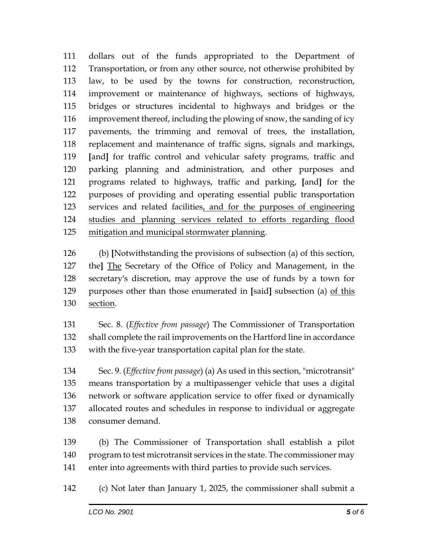dollars out of the funds appropriated to the Department of Transportation, or from any other source, not otherwise prohibited by law, to be used by the towns for construction, reconstruction, improvement or maintenance of highways, sections of highways, bridges or structures incidental to highways and bridges or the improvement thereof, including the plowing of snow, the sanding of icy pavements, the trimming and removal of trees, the installation, replacement and maintenance of traffic signs, signals and markings, **[**and**]** for traffic control and vehicular safety programs, traffic and parking planning and administration, and other purposes and programs related to highways, traffic and parking, **[**and**]** for the purposes of providing and operating essential public transportation services and related facilities, and for the purposes of engineering studies and planning services related to efforts regarding flood mitigation and municipal stormwater planning.

 (b) **[**Notwithstanding the provisions of subsection (a) of this section, the**]** The Secretary of the Office of Policy and Management, in the secretary's discretion, may approve the use of funds by a town for purposes other than those enumerated in **[**said**]** subsection (a) of this section.

 Sec. 8. (*Effective from passage*) The Commissioner of Transportation shall complete the rail improvements on the Hartford line in accordance with the five-year transportation capital plan for the state.

 Sec. 9. (*Effective from passage*) (a) As used in this section, "microtransit" means transportation by a multipassenger vehicle that uses a digital network or software application service to offer fixed or dynamically allocated routes and schedules in response to individual or aggregate consumer demand.

 (b) The Commissioner of Transportation shall establish a pilot program to test microtransit services in the state. The commissioner may enter into agreements with third parties to provide such services.

(c) Not later than January 1, 2025, the commissioner shall submit a